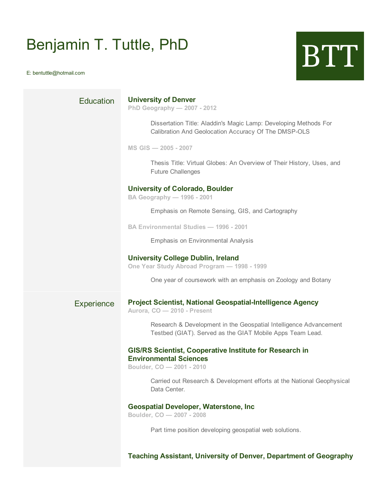# Benjamin T. Tuttle, PhD Benjamin T. Tuttle, PhD<br>E: bentuttle@hotmail.com

| <b>Education</b>  | <b>University of Denver</b><br>PhD Geography - 2007 - 2012                                                                     |
|-------------------|--------------------------------------------------------------------------------------------------------------------------------|
|                   | Dissertation Title: Aladdin's Magic Lamp: Developing Methods For<br>Calibration And Geolocation Accuracy Of The DMSP-OLS       |
|                   | MS GIS - 2005 - 2007                                                                                                           |
|                   | Thesis Title: Virtual Globes: An Overview of Their History, Uses, and<br><b>Future Challenges</b>                              |
|                   | <b>University of Colorado, Boulder</b><br>BA Geography - 1996 - 2001                                                           |
|                   | Emphasis on Remote Sensing, GIS, and Cartography                                                                               |
|                   | <b>BA Environmental Studies - 1996 - 2001</b>                                                                                  |
|                   | <b>Emphasis on Environmental Analysis</b>                                                                                      |
|                   | <b>University College Dublin, Ireland</b><br>One Year Study Abroad Program - 1998 - 1999                                       |
|                   | One year of coursework with an emphasis on Zoology and Botany                                                                  |
| <b>Experience</b> | Project Scientist, National Geospatial-Intelligence Agency<br>Aurora, CO - 2010 - Present                                      |
|                   | Research & Development in the Geospatial Intelligence Advancement<br>Testbed (GIAT). Served as the GIAT Mobile Apps Team Lead. |
|                   | <b>GIS/RS Scientist, Cooperative Institute for Research in</b><br><b>Environmental Sciences</b><br>Boulder, CO - 2001 - 2010   |
|                   | Carried out Research & Development efforts at the National Geophysical<br>Data Center.                                         |
|                   | <b>Geospatial Developer, Waterstone, Inc.</b><br>Boulder, CO - 2007 - 2008                                                     |
|                   | Part time position developing geospatial web solutions.                                                                        |
|                   | <b>Teaching Assistant, University of Denver, Department of Geography</b>                                                       |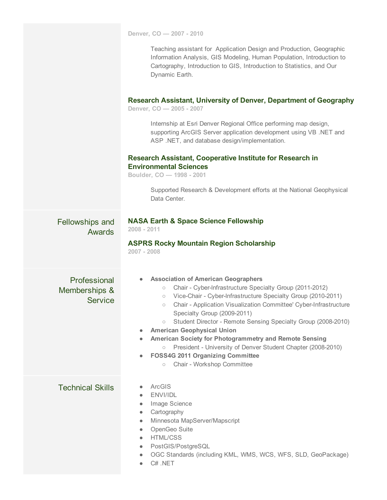**Denver, CO — 2007 2010**

Teaching assistant for Application Design and Production, Geographic Information Analysis, GIS Modeling, Human Population, Introduction to Cartography, Introduction to GIS, Introduction to Statistics, and Our Dynamic Earth.

#### **Research Assistant, University of Denver, Department of Geography**

**Denver, CO — 2005 2007**

Internship at Esri Denver Regional Office performing map design, supporting ArcGIS Server application development using VB .NET and ASP .NET, and database design/implementation.

#### **Research Assistant, Cooperative Institute for Research in Environmental Sciences**

**Boulder, CO — 1998 2001**

Supported Research & Development efforts at the National Geophysical Data Center.

| <b>Fellowships and</b> |  |
|------------------------|--|
| Awards                 |  |

### **NASA Earth & Space Science Fellowship**

**2008 2011**

## **ASPRS Rocky Mountain Region Scholarship**

**2007 2008**

**Professional** Memberships & **Service** 

- **● Association of American Geographers**
	- Chair Cyberlnfrastructure Specialty Group (20112012)
	- Vice-Chair Cyber-Infrastructure Specialty Group (2010-2011)
	- Chair Application Visualization Committee' Cyber-Infrastructure Specialty Group (2009-2011)
	- Student Director Remote Sensing Specialty Group (2008-2010)
- **● American Geophysical Union**
- **● American Society for Photogrammetry and Remote Sensing**
	- President University of Denver Student Chapter (20082010)
- **● FOSS4G 2011 Organizing Committee**
	- Chair Workshop Committee

## Technical Skills • ArcGIS

- 
- ENVI/IDL
- Image Science
- Cartography
- Minnesota MapServer/Mapscript
- OpenGeo Suite
- HTML/CSS
- PostGIS/PostgreSQL
- OGC Standards (including KML, WMS, WCS, WFS, SLD, GeoPackage)
- C# .NET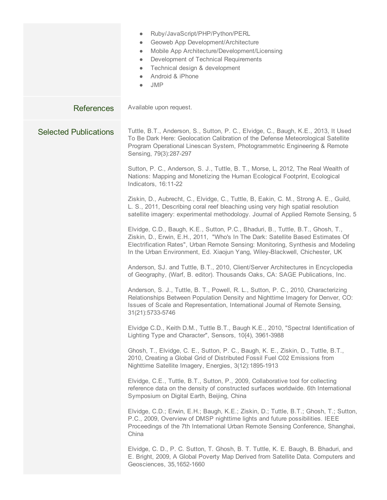|                              | Ruby/JavaScript/PHP/Python/PERL<br>$\bullet$<br>Geoweb App Development/Architecture<br>$\bullet$<br>Mobile App Architecture/Development/Licensing<br>$\bullet$<br>Development of Technical Requirements<br>$\bullet$<br>Technical design & development<br>$\bullet$<br>Android & iPhone<br>$\bullet$<br><b>JMP</b><br>$\bullet$       |
|------------------------------|---------------------------------------------------------------------------------------------------------------------------------------------------------------------------------------------------------------------------------------------------------------------------------------------------------------------------------------|
| <b>References</b>            | Available upon request.                                                                                                                                                                                                                                                                                                               |
| <b>Selected Publications</b> | Tuttle, B.T., Anderson, S., Sutton, P. C., Elvidge, C., Baugh, K.E., 2013, It Used<br>To Be Dark Here: Geolocation Calibration of the Defense Meteorological Satellite<br>Program Operational Linescan System, Photogrammetric Engineering & Remote<br>Sensing, 79(3):287-297                                                         |
|                              | Sutton, P. C., Anderson, S. J., Tuttle, B. T., Morse, L, 2012, The Real Wealth of<br>Nations: Mapping and Monetizing the Human Ecological Footprint, Ecological<br>Indicators, 16:11-22                                                                                                                                               |
|                              | Ziskin, D., Aubrecht, C., Elvidge, C., Tuttle, B, Eakin, C. M., Strong A. E., Guild,<br>L. S., 2011, Describing coral reef bleaching using very high spatial resolution<br>satellite imagery: experimental methodology. Journal of Applied Remote Sensing, 5                                                                          |
|                              | Elvidge, C.D., Baugh, K.E., Sutton, P.C., Bhaduri, B., Tuttle, B.T., Ghosh, T.,<br>Ziskin, D., Erwin, E.H., 2011, "Who's In The Dark: Satellite Based Estimates Of<br>Electrification Rates", Urban Remote Sensing: Monitoring, Synthesis and Modeling<br>In the Urban Environment, Ed. Xiaojun Yang, Wiley-Blackwell, Chichester, UK |
|                              | Anderson, SJ. and Tuttle, B.T., 2010, Client/Server Architectures in Encyclopedia<br>of Geography, (Warf, B. editor). Thousands Oaks, CA: SAGE Publications, Inc.                                                                                                                                                                     |
|                              | Anderson, S. J., Tuttle, B. T., Powell, R. L., Sutton, P. C., 2010, Characterizing<br>Relationships Between Population Density and Nighttime Imagery for Denver, CO:<br>Issues of Scale and Representation, International Journal of Remote Sensing,<br>31(21):5733-5746                                                              |
|                              | Elvidge C.D., Keith D.M., Tuttle B.T., Baugh K.E., 2010, "Spectral Identification of<br>Lighting Type and Character", Sensors, 10{4), 3961-3988                                                                                                                                                                                       |
|                              | Ghosh, T., Elvidge, C. E., Sutton, P. C., Baugh, K. E., Ziskin, D., Tuttle, B.T.,<br>2010, Creating a Global Grid of Distributed Fossil Fuel C02 Emissions from<br>Nighttime Satellite Imagery, Energies, 3(12):1895-1913                                                                                                             |
|                              | Elvidge, C.E., Tuttle, B.T., Sutton, P., 2009, Collaborative tool for collecting<br>reference data on the density of constructed surfaces worldwide. 6th International<br>Symposium on Digital Earth, Beijing, China                                                                                                                  |
|                              | Elvidge, C.D.; Erwin, E.H.; Baugh, K.E.; Ziskin, D.; Tuttle, B.T.; Ghosh, T.; Sutton,<br>P.C., 2009, Overview of DMSP nighttime lights and future possibilities. IEEE<br>Proceedings of the 7th International Urban Remote Sensing Conference, Shanghai,<br>China                                                                     |
|                              | Elvidge, C. D., P. C. Sutton, T. Ghosh, B. T. Tuttle, K. E. Baugh, B. Bhaduri, and<br>E. Bright, 2009, A Global Poverty Map Derived from Satellite Data. Computers and<br>Geosciences, 35, 1652-1660                                                                                                                                  |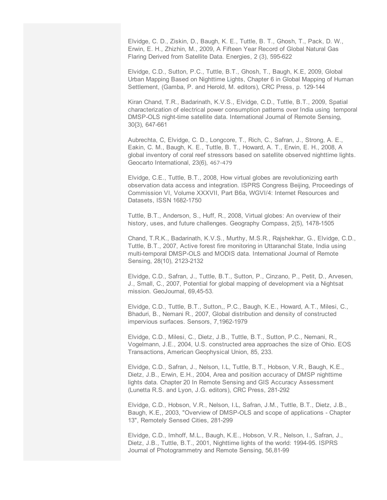Elvidge, C. D., Ziskin, D., Baugh, K. E., Tuttle, B. T., Ghosh, T., Pack, D. W., Erwin, E. H., Zhizhin, M., 2009, A Fifteen Year Record of Global Natural Gas Flaring Derived from Satellite Data. Energies, 2 (3), 595-622

Elvidge, C.D., Sutton, P.C., Tuttle, B.T., Ghosh, T., Baugh, K.E, 2009, Global Urban Mapping Based on Nighttime Lights, Chapter 6 in Global Mapping of Human Settlement, (Gamba, P. and Herold, M. editors), CRC Press, p. 129-144

Kiran Chand, T.R., Badarinath, K.V.S., Elvidge, C.D., Tuttle, B.T., 2009, Spatial characterization of electrical power consumption patterns over India using temporal DMSP-OLS night-time satellite data. International Journal of Remote Sensing, 30{3), 647-661

Aubrechta, C, Elvidge, C. D., Longcore, T., Rich, C., Safran, J., Strong, A. E., Eakin, C. M., Baugh, K. E., Tuttle, B. T., Howard, A. T., Erwin, E. H., 2008, A global inventory of coral reef stressors based on satellite observed nighttime lights. Geocarto International, 23(6), 467-479

Elvidge, C.E., Tuttle, B.T., 2008, How virtual globes are revolutionizing earth observation data access and integration. ISPRS Congress Beijing, Proceedings of Commission VI, Volume XXXVII, Part B6a, WGVI/4: Internet Resources and Datasets, ISSN 1682-1750

Tuttle, B.T., Anderson, S., Huff, R., 2008, Virtual globes: An overview of their history, uses, and future challenges. Geography Compass, 2(5), 1478-1505

Chand, T.R.K., Badarinath, K.V.S., Murthy, M.S.R., Rajshekhar, G., Elvidge, C.D., Tuttle, B.T., 2007, Active forest fire monitoring in Uttaranchal State, India using multi-temporal DMSP-OLS and MODIS data. International Journal of Remote Sensing, 28(10), 2123-2132

Elvidge, C.D., Safran, J., Tuttle, B.T., Sutton, P., Cinzano, P., Petit, D., Arvesen, J., Small, C., 2007, Potential for global mapping of development via a Nightsat mission. GeoJournal, 69,45-53.

Elvidge, C.D., Tuttle, B.T., Sutton,, P.C., Baugh, K.E., Howard, A.T., Milesi, C., Bhaduri, B., Nemani R., 2007, Global distribution and density of constructed impervious surfaces. Sensors, 7,1962-1979

Elvidge, C.D., Milesi, C., Dietz, J.B., Tuttle, B.T., Sutton, P.C., Nemani, R., Vogelmann, J.E., 2004, U.S. constructed area approaches the size of Ohio. EOS Transactions, American Geophysical Union, 85, 233.

Elvidge, C.D., Safran, J., Nelson, I.L, Tuttle, B.T., Hobson, V.R., Baugh, K.E., Dietz, J.B., Erwin, E.H., 2004, Area and position accuracy of DMSP nighttime lights data. Chapter 20 In Remote Sensing and GIS Accuracy Assessment (Lunetta R.S. and Lyon, J.G. editors), CRC Press, 281-292

Elvidge, C.D., Hobson, V.R., Nelson, I.L, Safran, J.M., Tuttle, B.T., Dietz, J.B., Baugh, K.E., 2003, "Overview of DMSP-OLS and scope of applications - Chapter 13", Remotely Sensed Cities, 281-299

Elvidge, C.D., Imhoff, M.L., Baugh, K.E., Hobson, V.R., Nelson, I., Safran, J., Dietz, J.B., Tuttle, B.T., 2001, Nighttime lights of the world: 1994-95. ISPRS Journal of Photogrammetry and Remote Sensing, 56,81-99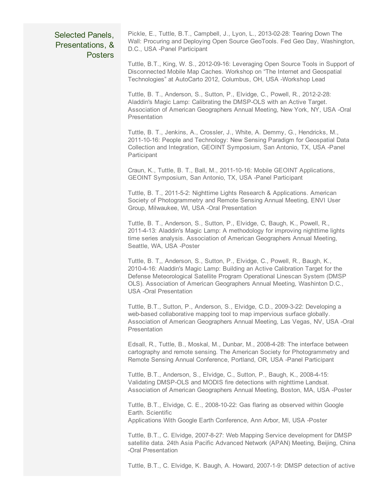## Selected Panels, Presentations, & Posters

Pickle, E., Tuttle, B.T., Campbell, J., Lyon, L., 2013-02-28: Tearing Down The Wall: Procuring and Deploying Open Source GeoTools. Fed Geo Day, Washington, D.C., USA -Panel Participant

Tuttle, B.T., King, W. S., 2012-09-16: Leveraging Open Source Tools in Support of Disconnected Mobile Map Caches. Workshop on "The Internet and Geospatial Technologies" at AutoCarto 2012, Columbus, OH, USA -Workshop Lead

Tuttle, B. T., Anderson, S., Sutton, P., Elvidge, C., Powell, R., 2012-2-28: Aladdin's Magic Lamp: Calibrating the DMSP-OLS with an Active Target. Association of American Geographers Annual Meeting, New York, NY, USA -Oral **Presentation** 

Tuttle, B. T., Jenkins, A., Crossler, J., White, A. Demmy, G., Hendricks, M., 2011-10-16: People and Technology: New Sensing Paradigm for Geospatial Data Collection and Integration, GEOINT Symposium, San Antonio, TX, USA Panel **Participant** 

Craun, K., Tuttle, B. T., Ball, M., 2011-10-16: Mobile GEOINT Applications, GEOINT Symposium, San Antonio, TX, USA Panel Participant

Tuttle, B. T., 2011-5-2: Nighttime Lights Research & Applications. American Society of Photogrammetry and Remote Sensing Annual Meeting, ENVI User Group, Milwaukee, WI, USA -Oral Presentation

Tuttle, B. T., Anderson, S., Sutton, P., Elvidge, C, Baugh, K., Powell, R., 2011-4-13: Aladdin's Magic Lamp: A methodology for improving nighttime lights time series analysis. Association of American Geographers Annual Meeting, Seattle, WA, USA -Poster

Tuttle, B. T,, Anderson, S., Sutton, P., Elvidge, C., Powell, R., Baugh, K., 2010-4-16: Aladdin's Magic Lamp: Building an Active Calibration Target for the Defense Meteorological Satellite Program Operational Linescan System (DMSP OLS). Association of American Geographers Annual Meeting, Washinton D.C., USA -Oral Presentation

Tuttle, B.T., Sutton, P., Anderson, S., Elvidge, C.D., 2009-3-22: Developing a web-based collaborative mapping tool to map impervious surface globally. Association of American Geographers Annual Meeting, Las Vegas, NV, USA -Oral **Presentation** 

Edsall, R., Tuttle, B., Moskal, M., Dunbar, M., 2008-4-28: The interface between cartography and remote sensing. The American Society for Photogrammetry and Remote Sensing Annual Conference, Portland, OR, USA Panel Participant

Tuttle, B.T., Anderson, S., Elvidge, C., Sutton, P., Baugh, K., 2008-4-15: Validating DMSP-OLS and MODIS fire detections with nighttime Landsat. Association of American Geographers Annual Meeting, Boston, MA, USA Poster

Tuttle, B.T., Elvidge, C. E., 2008-10-22: Gas flaring as observed within Google Earth. Scientific

Applications With Google Earth Conference, Ann Arbor, Ml, USA Poster

Tuttle, B.T., C. Elvidge, 2007-8-27: Web Mapping Service development for DMSP satellite data. 24th Asia Pacific Advanced Network (APAN) Meeting, Beijing, China Oral Presentation

Tuttle, B.T., C. Elvidge, K. Baugh, A. Howard, 2007-1-9: DMSP detection of active